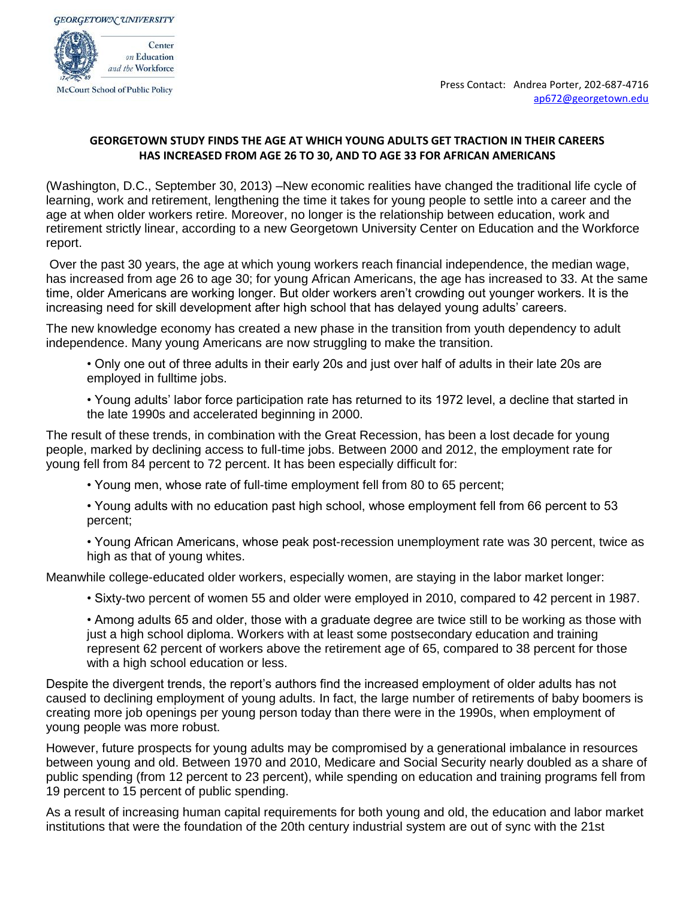

## **GEORGETOWN STUDY FINDS THE AGE AT WHICH YOUNG ADULTS GET TRACTION IN THEIR CAREERS HAS INCREASED FROM AGE 26 TO 30, AND TO AGE 33 FOR AFRICAN AMERICANS**

(Washington, D.C., September 30, 2013) –New economic realities have changed the traditional life cycle of learning, work and retirement, lengthening the time it takes for young people to settle into a career and the age at when older workers retire. Moreover, no longer is the relationship between education, work and retirement strictly linear, according to a new Georgetown University Center on Education and the Workforce report.

Over the past 30 years, the age at which young workers reach financial independence, the median wage, has increased from age 26 to age 30; for young African Americans, the age has increased to 33. At the same time, older Americans are working longer. But older workers aren't crowding out younger workers. It is the increasing need for skill development after high school that has delayed young adults' careers.

The new knowledge economy has created a new phase in the transition from youth dependency to adult independence. Many young Americans are now struggling to make the transition.

• Only one out of three adults in their early 20s and just over half of adults in their late 20s are employed in fulltime jobs.

• Young adults' labor force participation rate has returned to its 1972 level, a decline that started in the late 1990s and accelerated beginning in 2000.

The result of these trends, in combination with the Great Recession, has been a lost decade for young people, marked by declining access to full-time jobs. Between 2000 and 2012, the employment rate for young fell from 84 percent to 72 percent. It has been especially difficult for:

• Young men, whose rate of full-time employment fell from 80 to 65 percent;

• Young adults with no education past high school, whose employment fell from 66 percent to 53 percent;

• Young African Americans, whose peak post-recession unemployment rate was 30 percent, twice as high as that of young whites.

Meanwhile college-educated older workers, especially women, are staying in the labor market longer:

• Sixty-two percent of women 55 and older were employed in 2010, compared to 42 percent in 1987.

• Among adults 65 and older, those with a graduate degree are twice still to be working as those with just a high school diploma. Workers with at least some postsecondary education and training represent 62 percent of workers above the retirement age of 65, compared to 38 percent for those with a high school education or less.

Despite the divergent trends, the report's authors find the increased employment of older adults has not caused to declining employment of young adults. In fact, the large number of retirements of baby boomers is creating more job openings per young person today than there were in the 1990s, when employment of young people was more robust.

However, future prospects for young adults may be compromised by a generational imbalance in resources between young and old. Between 1970 and 2010, Medicare and Social Security nearly doubled as a share of public spending (from 12 percent to 23 percent), while spending on education and training programs fell from 19 percent to 15 percent of public spending.

As a result of increasing human capital requirements for both young and old, the education and labor market institutions that were the foundation of the 20th century industrial system are out of sync with the 21st